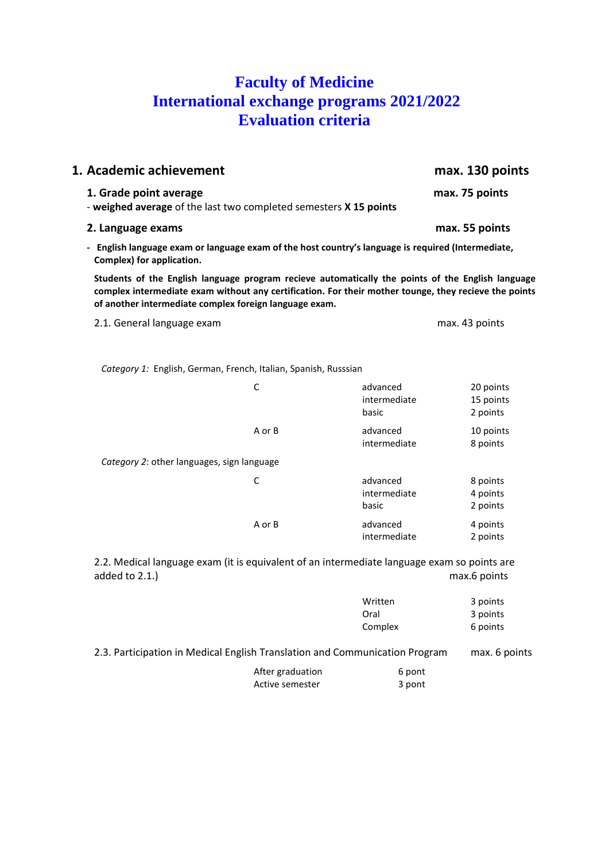# **Faculty of Medicine International exchange programs 2021/2022 Evaluation criteria**

| 1. Academic achievement                                                                                                                                                                                                                                              |              |                                   | max. 130 points                    |
|----------------------------------------------------------------------------------------------------------------------------------------------------------------------------------------------------------------------------------------------------------------------|--------------|-----------------------------------|------------------------------------|
| 1. Grade point average<br>- weighed average of the last two completed semesters X 15 points                                                                                                                                                                          |              |                                   | max. 75 points                     |
| 2. Language exams                                                                                                                                                                                                                                                    |              |                                   | max. 55 points                     |
| - English language exam or language exam of the host country's language is required (Intermediate,<br>Complex) for application.                                                                                                                                      |              |                                   |                                    |
| Students of the English language program recieve automatically the points of the English language<br>complex intermediate exam without any certification. For their mother tounge, they recieve the points<br>of another intermediate complex foreign language exam. |              |                                   |                                    |
| 2.1. General language exam                                                                                                                                                                                                                                           |              |                                   | max. 43 points                     |
| Category 1: English, German, French, Italian, Spanish, Russsian                                                                                                                                                                                                      | $\mathsf{C}$ | advanced<br>intermediate<br>basic | 20 points<br>15 points<br>2 points |
|                                                                                                                                                                                                                                                                      | A or B       | advanced<br>intermediate          | 10 points<br>8 points              |
| Category 2: other languages, sign language                                                                                                                                                                                                                           |              |                                   |                                    |
|                                                                                                                                                                                                                                                                      | C            | advanced<br>intermediate<br>basic | 8 points<br>4 points<br>2 points   |
|                                                                                                                                                                                                                                                                      | A or B       | advanced<br>intermediate          | 4 points<br>2 points               |
| 2.2. Medical language exam (it is equivalent of an intermediate language exam so points are<br>added to 2.1.)                                                                                                                                                        |              |                                   | max.6 points                       |

|                                                                             | Written<br>Oral<br>Complex | 3 points<br>3 points<br>6 points |
|-----------------------------------------------------------------------------|----------------------------|----------------------------------|
| 2.3. Participation in Medical English Translation and Communication Program |                            | max. 6 points                    |
| After graduation<br>Active semester                                         | 6 pont<br>3 pont           |                                  |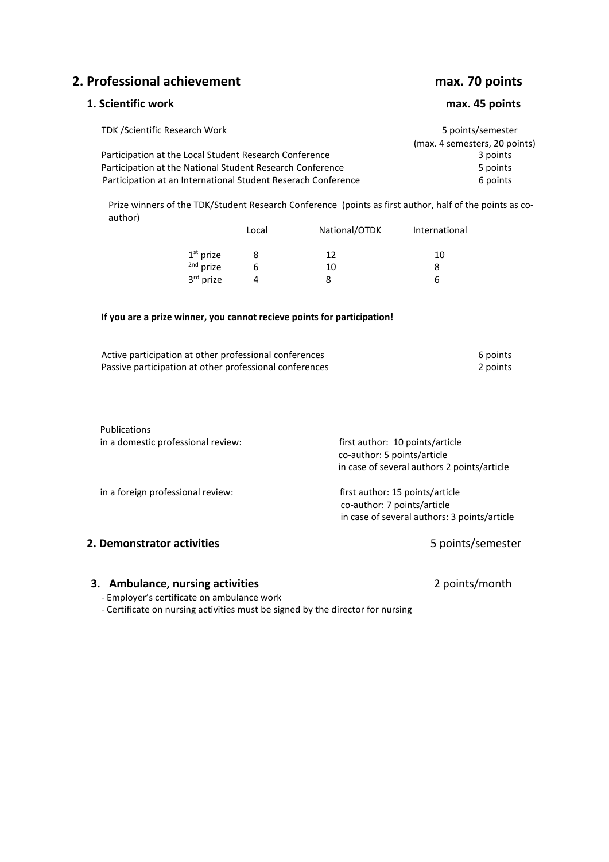**2. Professional achievement max. 70 points**

# **1. Scientific work max. 45 points**

| <b>TDK /Scientific Research Work</b>                          | 5 points/semester             |
|---------------------------------------------------------------|-------------------------------|
|                                                               | (max. 4 semesters, 20 points) |
| Participation at the Local Student Research Conference        | 3 points                      |
| Participation at the National Student Research Conference     | 5 points                      |
| Participation at an International Student Reserach Conference | 6 points                      |

Prize winners of the TDK/Student Research Conference (points as first author, half of the points as coauthor)

|                      | Local | National/OTDK | International |
|----------------------|-------|---------------|---------------|
| $1st$ prize          |       | 12            | 10            |
| <sup>2nd</sup> prize | h     | 10            |               |
| 3rd prize            |       |               | h             |

#### **If you are a prize winner, you cannot recieve points for participation!**

| Active participation at other professional conferences  | 6 points |
|---------------------------------------------------------|----------|
| Passive participation at other professional conferences | 2 points |

| first author: 10 points/article<br>co-author: 5 points/article |
|----------------------------------------------------------------|
| in case of several authors 2 points/article                    |
|                                                                |
| first author: 15 points/article                                |
| co-author: 7 points/article                                    |
| in case of several authors: 3 points/article                   |
| 5 points/semester                                              |
|                                                                |

#### **3. Ambulance, nursing activities** 2 points/month

- Employer's certificate on ambulance work

- Certificate on nursing activities must be signed by the director for nursing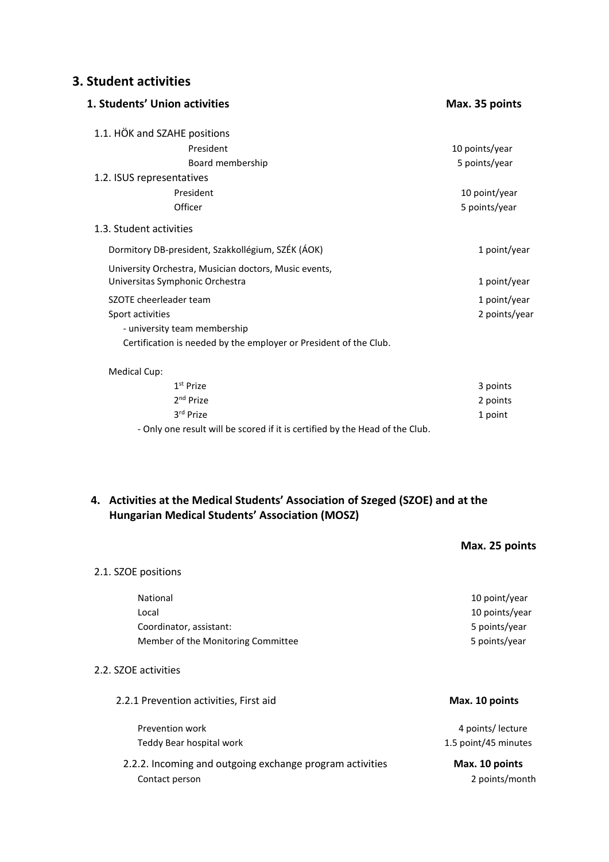## **3. Student activities**

| 1. Students' Union activities                                                            | Max. 35 points |
|------------------------------------------------------------------------------------------|----------------|
| 1.1. HÖK and SZAHE positions                                                             |                |
| President                                                                                | 10 points/year |
| Board membership                                                                         | 5 points/year  |
| 1.2. ISUS representatives                                                                |                |
| President                                                                                | 10 point/year  |
| Officer                                                                                  | 5 points/year  |
| 1.3. Student activities                                                                  |                |
| Dormitory DB-president, Szakkollégium, SZÉK (ÁOK)                                        | 1 point/year   |
| University Orchestra, Musician doctors, Music events,<br>Universitas Symphonic Orchestra | 1 point/year   |
| SZOTE cheerleader team                                                                   | 1 point/year   |
| Sport activities                                                                         | 2 points/year  |
| - university team membership                                                             |                |
| Certification is needed by the employer or President of the Club.                        |                |
| Medical Cup:                                                                             |                |
| 1 <sup>st</sup> Prize                                                                    | 3 points       |
| $2nd$ Prize                                                                              | 2 points       |
| 3rd Prize                                                                                | 1 point        |

- Only one result will be scored if it is certified by the Head of the Club.

### **4. Activities at the Medical Students' Association of Szeged (SZOE) and at the Hungarian Medical Students' Association (MOSZ)**

|                                                          | Max. 25 points       |
|----------------------------------------------------------|----------------------|
| 2.1. SZOE positions                                      |                      |
| National                                                 | 10 point/year        |
| Local                                                    | 10 points/year       |
| Coordinator, assistant:                                  | 5 points/year        |
| Member of the Monitoring Committee                       | 5 points/year        |
| 2.2. SZOE activities                                     |                      |
| 2.2.1 Prevention activities, First aid                   | Max. 10 points       |
| Prevention work                                          | 4 points/ lecture    |
| Teddy Bear hospital work                                 | 1.5 point/45 minutes |
| 2.2.2. Incoming and outgoing exchange program activities | Max. 10 points       |
| Contact person                                           | 2 points/month       |
|                                                          |                      |